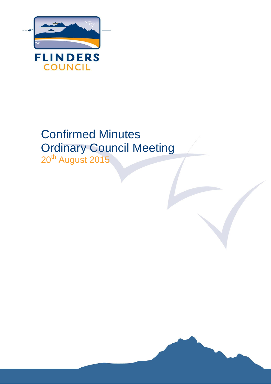

# Confirmed Minutes Ordinary Council Meeting 20<sup>th</sup> August 2015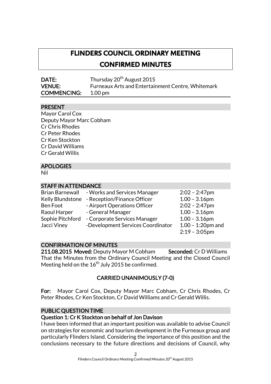## **FLINDERS COUNCIL ORDINARY MEETING CONFIRMED MINUTES**

DATE: Thursday 20<sup>th</sup> August 2015 VENUE: Furneaux Arts and Entertainment Centre, Whitemark COMMENCING: 1.00 pm

#### PRESENT

Mayor Carol Cox Deputy Mayor Marc Cobham Cr Chris Rhodes Cr Peter Rhodes Cr Ken Stockton Cr David Williams Cr Gerald Willis

#### APOLOGIES

Nil

#### STAFF IN ATTENDANCE

| <b>Brian Barnewall</b> | - Works and Services Manager      | $2:02 - 2:47$ pm     |
|------------------------|-----------------------------------|----------------------|
| Kelly Blundstone       | - Reception/Finance Officer       | $1.00 - 3.16$ pm     |
| Ben Foot               | - Airport Operations Officer      | $2:02 - 2:47$ pm     |
| Raoul Harper           | - General Manager                 | $1.00 - 3.16$ pm     |
| Sophie Pitchford       | - Corporate Services Manager      | $1.00 - 3.16$ pm     |
| Jacci Viney            | -Development Services Coordinator | $1.00 - 1:20$ pm and |
|                        |                                   | $2:19 - 3:05$ pm     |

#### CONFIRMATION OF MINUTES

211.08.2015 Moved: Deputy Mayor M Cobham Seconded: Cr D Williams That the Minutes from the Ordinary Council Meeting and the Closed Council Meeting held on the  $16^{\rm th}$  July 2015 be confirmed.

## CARRIED UNANIMOUSLY (7-0)

For: Mayor Carol Cox, Deputy Mayor Marc Cobham, Cr Chris Rhodes, Cr Peter Rhodes, Cr Ken Stockton, Cr David Williams and Cr Gerald Willis.

#### PUBLIC QUESTION TIME

#### Question 1: Cr K Stockton on behalf of Jon Davison

I have been informed that an important position was available to advise Council on strategies for economic and tourism development in the Furneaux group and particularly Flinders Island. Considering the importance of this position and the conclusions necessary to the future directions and decisions of Council, why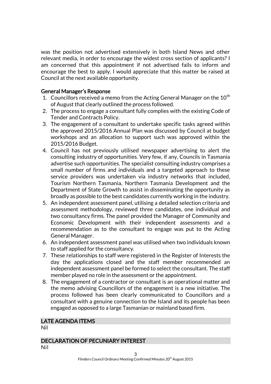was the position not advertised extensively in both Island News and other relevant media, in order to encourage the widest cross section of applicants? I am concerned that this appointment if not advertised fails to inform and encourage the best to apply. I would appreciate that this matter be raised at Council at the next available opportunity.

#### General Manager's Response

- 1. Councillors received a memo from the Acting General Manager on the  $10^{th}$ of August that clearly outlined the process followed.
- 2. The process to engage a consultant fully complies with the existing Code of Tender and Contracts Policy.
- 3. The engagement of a consultant to undertake specific tasks agreed within the approved 2015/2016 Annual Plan was discussed by Council at budget workshops and an allocation to support such was approved within the 2015/2016 Budget.
- 4. Council has not previously utilised newspaper advertising to alert the consulting industry of opportunities. Very few, if any, Councils in Tasmania advertise such opportunities. The specialist consulting industry comprises a small number of firms and individuals and a targeted approach to these service providers was undertaken via industry networks that included, Tourism Northern Tasmania, Northern Tasmania Development and the Department of State Growth to assist in disseminating the opportunity as broadly as possible to the best candidates currently working in the industry.
- 5. An independent assessment panel, utilising a detailed selection criteria and assessment methodology, reviewed three candidates, one individual and two consultancy firms. The panel provided the Manager of Community and Economic Development with their independent assessments and a recommendation as to the consultant to engage was put to the Acting General Manager.
- 6. An independent assessment panel was utilised when two individuals known to staff applied for the consultancy.
- 7. These relationships to staff were registered in the Register of Interests the day the applications closed and the staff member recommended an independent assessment panel be formed to select the consultant. The staff member played no role in the assessment or the appointment.
- 8. The engagement of a contractor or consultant is an operational matter and the memo advising Councillors of the engagement is a new initiative. The process followed has been clearly communicated to Councillors and a consultant with a genuine connection to the Island and its people has been engaged as opposed to a large Tasmanian or mainland based firm.

## LATE AGENDA ITEMS

Nil

#### DECLARATION OF PECUNIARY INTEREST

Nil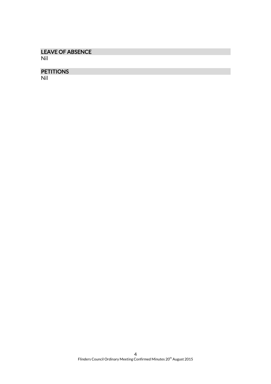## LEAVE OF ABSENCE

Nil

## PETITIONS

Nil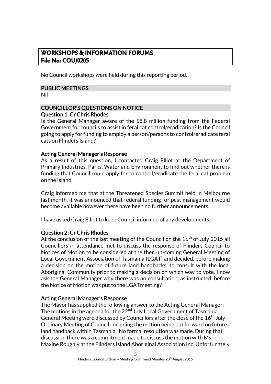## **WORKSHOPS & INFORMATION FORUMS File No: COU/0205**

No Council workshops were held during this reporting period.

#### PUBLIC MEETINGS

Nil

## COUNCILLOR'S QUESTIONS ON NOTICE Question 1: Cr Chris Rhodes

Is the General Manager aware of the \$8.8 million funding from the Federal Government for councils to assist in feral cat control/eradication? Is the Council going to apply for funding to employ a person/persons to control/eradicate feral cats on Flinders Island?

#### Acting General Manager's Response

As a result of this question, I contacted Craig Elliot at the Department of Primary Industries, Parks, Water and Environment to find out whether there is funding that Council could apply for to control/eradicate the feral cat problem on the Island.

Craig informed me that at the Threatened Species Summit held in Melbourne last month, it was announced that federal funding for pest management would become available however there have been no further announcements.

I have asked Craig Elliot to keep Council informed of any developments.

#### Question 2: Cr Chris Rhodes

At the conclusion of the last meeting of the Council on the  $16<sup>th</sup>$  of July 2015 all Councillors in attendance met to discuss the response of Flinders Council to Notices of Motion to be considered at the then up-coming General Meeting of Local Government Association of Tasmania (LGAT) and decided, before making a decision on the motion of future land handbacks, to consult with the local Aboriginal Community prior to making a decision on which way to vote. I now ask the General Manager why there was no consultation, as instructed, before the Notice of Motion was put to the LGATmeeting?

#### Acting General Manager's Response

The Mayor has supplied the following answer to the Acting General Manager: The motions in the agenda for the  $22^{nd}$  July Local Government of Tasmania General Meeting were discussed by Councillors after the close of the 16<sup>th</sup> July Ordinary Meeting of Council, including the motion being put forward on future land handback within Tasmania. No formal resolution was made. During that discussion there was a commitment made to discuss the motion with Ms Maxine Roughly at the Flinders Island Aboriginal Association Inc. Unfortunately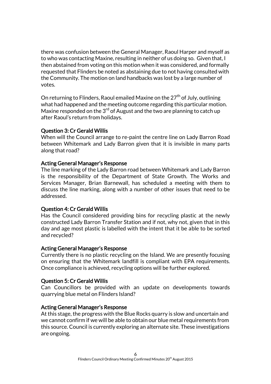there was confusion between the General Manager, Raoul Harper and myself as to who was contacting Maxine, resulting in neither of us doing so. Given that, I then abstained from voting on this motion when it was considered, and formally requested that Flinders be noted as abstaining due to not having consulted with the Community. The motion on land handbacks was lost by a large number of votes.

On returning to Flinders, Raoul emailed Maxine on the  $27<sup>th</sup>$  of July, outlining what had happened and the meeting outcome regarding this particular motion. Maxine responded on the  $3<sup>rd</sup>$  of August and the two are planning to catch up after Raoul's return from holidays.

#### Question 3: Cr Gerald Willis

When will the Council arrange to re-paint the centre line on Lady Barron Road between Whitemark and Lady Barron given that it is invisible in many parts along that road?

#### Acting General Manager's Response

The line marking of the Lady Barron road between Whitemark and Lady Barron is the responsibility of the Department of State Growth. The Works and Services Manager, Brian Barnewall, has scheduled a meeting with them to discuss the line marking, along with a number of other issues that need to be addressed.

#### Question 4: Cr Gerald Willis

Has the Council considered providing bins for recycling plastic at the newly constructed Lady Barron Transfer Station and if not, why not, given that in this day and age most plastic is labelled with the intent that it be able to be sorted and recycled?

#### Acting General Manager's Response

Currently there is no plastic recycling on the Island. We are presently focusing on ensuring that the Whitemark landfill is compliant with EPA requirements. Once compliance is achieved, recycling options will be further explored.

#### Question 5: Cr Gerald Willis

Can Councillors be provided with an update on developments towards quarrying blue metal on Flinders Island?

#### Acting General Manager's Response

At this stage, the progress with the Blue Rocks quarry is slow and uncertain and we cannot confirm if we will be able to obtain our blue metal requirements from this source. Council is currently exploring an alternate site. These investigations are ongoing.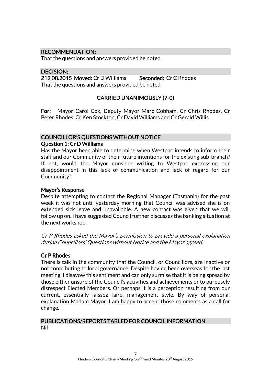#### RECOMMENDATION:

That the questions and answers provided be noted.

#### DECISION:

212.08.2015 Moved: Cr D Williams Seconded: Cr C Rhodes That the questions and answers provided be noted.

#### CARRIED UNANIMOUSLY (7-0)

For: Mayor Carol Cox, Deputy Mayor Marc Cobham, Cr Chris Rhodes, Cr Peter Rhodes, Cr Ken Stockton, Cr David Williams and Cr Gerald Willis.

#### COUNCILLOR'S QUESTIONS WITHOUT NOTICE Question 1: Cr D Williams

Has the Mayor been able to determine when Westpac intends to inform their staff and our Community of their future intentions for the existing sub-branch? If not, would the Mayor consider writing to Westpac expressing our disappointment in this lack of communication and lack of regard for our Community?

#### Mayor's Response

Despite attempting to contact the Regional Manager (Tasmania) for the past week it was not until yesterday morning that Council was advised she is on extended sick leave and unavailable. A new contact was given that we will follow up on. I have suggested Council further discusses the banking situation at the next workshop.

Cr P Rhodes asked the Mayor's permission to provide a personal explanation during Councillors' Questions without Notice and the Mayor agreed.

#### Cr P Rhodes

There is talk in the community that the Council, or Councillors, are inactive or not contributing to local governance. Despite having been overseas for the last meeting, I disavow this sentiment and can only surmise that it is being spread by those either unsure of the Council's activities and achievements or to purposely disrespect Elected Members. Or perhaps it is a perception resulting from our current, essentially laissez faire, management style. By way of personal explanation Madam Mayor, I am happy to accept those comments as a call for change.

#### PUBLICATIONS/REPORTS TABLED FOR COUNCIL INFORMATION Nil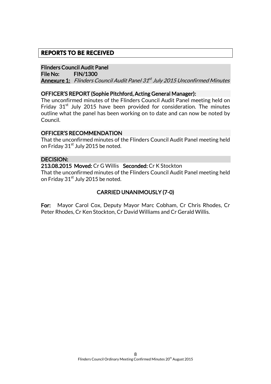## **REPORTS TO BE RECEIVED**

#### Flinders Council Audit Panel

File No: FIN/1300 **Annexure 1:** Flinders Council Audit Panel 31<sup>st</sup> July 2015 Unconfirmed Minutes

#### OFFICER'S REPORT (Sophie Pitchford, Acting General Manager):

The unconfirmed minutes of the Flinders Council Audit Panel meeting held on Friday  $31<sup>st</sup>$  July 2015 have been provided for consideration. The minutes outline what the panel has been working on to date and can now be noted by Council.

#### OFFICER'S RECOMMENDATION

That the unconfirmed minutes of the Flinders Council Audit Panel meeting held on Friday 31<sup>st</sup> July 2015 be noted.

#### DECISION:

213.08.2015 Moved: Cr G Willis Seconded: Cr K Stockton That the unconfirmed minutes of the Flinders Council Audit Panel meeting held on Friday 31<sup>st</sup> July 2015 be noted.

#### CARRIED UNANIMOUSLY (7-0)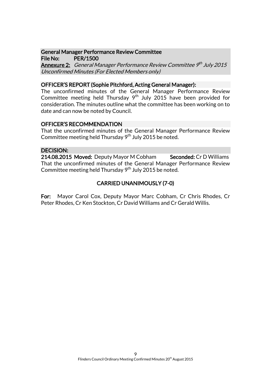#### General Manager Performance Review Committee File No: PER/1500

**Annexure 2:** General Manager Performance Review Committee 9th July 2015 Unconfirmed Minutes (For Elected Members only)

#### OFFICER'S REPORT (Sophie Pitchford, Acting General Manager):

The unconfirmed minutes of the General Manager Performance Review Committee meeting held Thursday  $9<sup>th</sup>$  July 2015 have been provided for consideration. The minutes outline what the committee has been working on to date and can now be noted by Council.

#### OFFICER'S RECOMMENDATION

That the unconfirmed minutes of the General Manager Performance Review Committee meeting held Thursday  $9<sup>th</sup>$  July 2015 be noted.

#### DECISION:

214.08.2015 Moved: Deputy Mayor M Cobham Seconded: Cr D Williams That the unconfirmed minutes of the General Manager Performance Review Committee meeting held Thursday  $9<sup>th</sup>$  July 2015 be noted.

## CARRIED UNANIMOUSLY (7-0)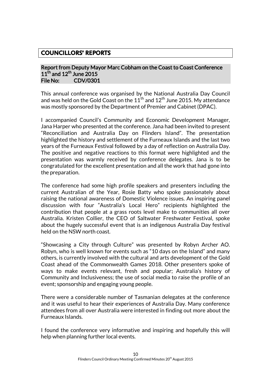## **COUNCILLORS' REPORTS**

#### Report from Deputy Mayor Marc Cobham on the Coast to Coast Conference  $11^{\text{th}}$  and  $12^{\text{th}}$  June 2015 File No: CDV/0301

This annual conference was organised by the National Australia Day Council and was held on the Gold Coast on the  $11^{th}$  and  $12^{th}$  June 2015. My attendance was mostly sponsored by the Department of Premier and Cabinet (DPAC).

I accompanied Council's Community and Economic Development Manager, Jana Harper who presented at the conference. Jana had been invited to present "Reconciliation and Australia Day on Flinders Island". The presentation highlighted the history and settlement of the Furneaux Islands and the last two years of the Furneaux Festival followed by a day of reflection on Australia Day. The positive and negative reactions to this format were highlighted and the presentation was warmly received by conference delegates. Jana is to be congratulated for the excellent presentation and all the work that had gone into the preparation.

The conference had some high profile speakers and presenters including the current Australian of the Year, Rosie Batty who spoke passionately about raising the national awareness of Domestic Violence issues. An inspiring panel discussion with four "Australia's Local Hero" recipients highlighted the contribution that people at a grass roots level make to communities all over Australia. Kristen Collier, the CEO of Saltwater Freshwater Festival, spoke about the hugely successful event that is an indigenous Australia Day festival held on the NSW north coast.

"Showcasing a City through Culture" was presented by Robyn Archer AO. Robyn, who is well known for events such as "10 days on the Island" and many others, is currently involved with the cultural and arts development of the Gold Coast ahead of the Commonwealth Games 2018. Other presenters spoke of ways to make events relevant, fresh and popular; Australia's history of Community and Inclusiveness; the use of social media to raise the profile of an event; sponsorship and engaging young people.

There were a considerable number of Tasmanian delegates at the conference and it was useful to hear their experiences of Australia Day. Many conference attendees from all over Australia were interested in finding out more about the Furneaux Islands.

I found the conference very informative and inspiring and hopefully this will help when planning further local events.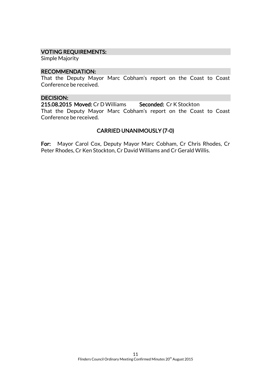#### VOTING REQUIREMENTS:

Simple Majority

#### RECOMMENDATION:

That the Deputy Mayor Marc Cobham's report on the Coast to Coast Conference be received.

#### DECISION:

215.08.2015 Moved: Cr D Williams Seconded: Cr K Stockton That the Deputy Mayor Marc Cobham's report on the Coast to Coast Conference be received.

#### CARRIED UNANIMOUSLY (7-0)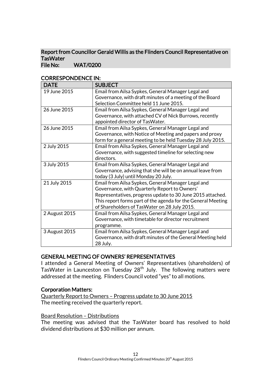#### Report from Councillor Gerald Willis as the Flinders Council Representative on **TasWater** File No: WAT/0200

| <b>DATE</b>   | <b>SUBJECT</b>                                               |
|---------------|--------------------------------------------------------------|
| 19 June 2015  | Email from Ailsa Sypkes, General Manager Legal and           |
|               | Governance, with draft minutes of a meeting of the Board     |
|               | Selection Committee held 11 June 2015.                       |
| 26 June 2015  | Email from Ailsa Sypkes, General Manager Legal and           |
|               | Governance, with attached CV of Nick Burrows, recently       |
|               | appointed director of TasWater.                              |
| 26 June 2015  | Email from Ailsa Sypkes, General Manager Legal and           |
|               | Governance, with Notice of Meeting and papers and proxy      |
|               | form for a general meeting to be held Tuesday 28 July 2015.  |
| 2 July 2015   | Email from Ailsa Sypkes, General Manager Legal and           |
|               | Governance, with suggested timeline for selecting new        |
|               | directors.                                                   |
| 3 July 2015   | Email from Ailsa Sypkes, General Manager Legal and           |
|               | Governance, advising that she will be on annual leave from   |
|               | today (3 July) until Monday 20 July.                         |
| 21 July 2015  | Email from Ailsa Sypkes, General Manager Legal and           |
|               | Governance, with Quarterly Report to Owners'                 |
|               | Representatives, progress update to 30 June 2015 attached.   |
|               | This report forms part of the agenda for the General Meeting |
|               | of Shareholders of TasWater on 28 July 2015.                 |
| 2 August 2015 | Email from Ailsa Sypkes, General Manager Legal and           |
|               | Governance, with timetable for director recruitment          |
|               | programme.                                                   |
| 3 August 2015 | Email from Ailsa Sypkes, General Manager Legal and           |
|               | Governance, with draft minutes of the General Meeting held   |
|               | 28 July.                                                     |

## CORRESPONDENCE IN:

#### GENERAL MEETING OF OWNERS' REPRESENTATIVES

I attended a General Meeting of Owners' Representatives (shareholders) of TasWater in Launceston on Tuesday 28th July. The following matters were addressed at the meeting. Flinders Council voted "yes" to all motions.

#### Corporation Matters:

Quarterly Report to Owners – Progress update to 30 June 2015 The meeting received the quarterly report.

#### Board Resolution – Distributions

The meeting was advised that the TasWater board has resolved to hold dividend distributions at \$30 million per annum.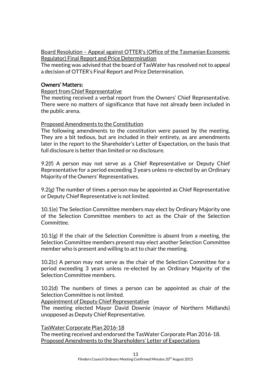Board Resolution – Appeal against OTTER's (Office of the Tasmanian Economic Regulator) Final Report and Price Determination

The meeting was advised that the board of TasWater has resolved not to appeal a decision of OTTER's Final Report and Price Determination.

#### Owners' Matters:

#### Report from Chief Representative

The meeting received a verbal report from the Owners' Chief Representative. There were no matters of significance that have not already been included in the public arena.

#### Proposed Amendments to the Constitution

The following amendments to the constitution were passed by the meeting. They are a bit tedious, but are included in their entirety, as are amendments later in the report to the Shareholder's Letter of Expectation, on the basis that full disclosure is better than limited or no disclosure.

9.2(f) A person may not serve as a Chief Representative or Deputy Chief Representative for a period exceeding 3 years unless re-elected by an Ordinary Majority of the Owners' Representatives.

9.2(g) The number of times a person may be appointed as Chief Representative or Deputy Chief Representative is not limited.

10.1(e) The Selection Committee members may elect by Ordinary Majority one of the Selection Committee members to act as the Chair of the Selection Committee.

10.1(g) If the chair of the Selection Committee is absent from a meeting, the Selection Committee members present may elect another Selection Committee member who is present and willing to act to chair the meeting.

10.2(c) A person may not serve as the chair of the Selection Committee for a period exceeding 3 years unless re-elected by an Ordinary Majority of the Selection Committee members.

10.2(d) The numbers of times a person can be appointed as chair of the Selection Committee is not limited.

Appointment of Deputy Chief Representative

The meeting elected Mayor David Downie (mayor of Northern Midlands) unopposed as Deputy Chief Representative.

TasWater Corporate Plan 2016-18

The meeting received and endorsed the TasWater Corporate Plan 2016-18. Proposed Amendments to the Shareholders' Letter of Expectations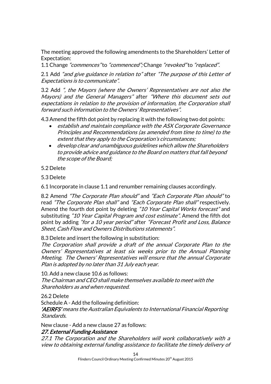The meeting approved the following amendments to the Shareholders' Letter of Expectation:

1.1 Change "commences" to "commenced"; Change "revoked" to "replaced".

2.1 Add "and give guidance in relation to" after "The purpose of this Letter of Expectations is to communicate".

3.2 Add ", the Mayors (where the Owners' Representatives are not also the Mayors) and the General Managers" after "Where this document sets out expectations in relation to the provision of information, the Corporation shall forward such information to the Owners' Representatives".

4.3 Amend the fifth dot point by replacing it with the following two dot points:

- establish and maintain compliance with the ASX Corporate Governance Principles and Recommendations (as amended from time to time) to the extent that they apply to the Corporation's circumstances;
- develop clear and unambiguous guidelines which allow the Shareholders to provide advice and guidance to the Board on matters that fall beyond the scope of the Board;

#### 5.2 Delete

5.3 Delete

6.1 Incorporate in clause 1.1 and renumber remaining clauses accordingly.

8.2 Amend "The Corporate Plan should" and "Each Corporate Plan should" to read "The Corporate Plan shall" and "Each Corporate Plan shall" respectively. Amend the fourth dot point by deleting "10 Year Capital Works forecast" and substituting "10 Year Capital Program and cost estimate". Amend the fifth dot point by adding "for a 10 year period" after "Forecast Profit and Loss, Balance Sheet, Cash Flow and Owners Distributions statements".

8.3 Delete and insert the following in substitution:

The Corporation shall provide a draft of the annual Corporate Plan to the Owners' Representatives at least six weeks prior to the Annual Planning Meeting. The Owners' Representatives will ensure that the annual Corporate Plan is adopted by no later than 31 July each year.

10. Add a new clause 10.6 as follows: The Chairman and CEO shall make themselves available to meet with the Shareholders as and when requested.

26.2 Delete

Schedule A - Add the following definition:

'AEIRFS' means the Australian Equivalents to International Financial Reporting Standards.

New clause - Add a new clause 27 as follows:

#### 27. External Funding Assistance

27.1 The Corporation and the Shareholders will work collaboratively with a view to obtaining external funding assistance to facilitate the timely delivery of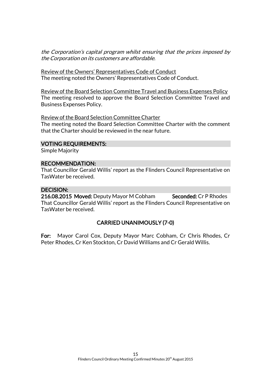the Corporation's capital program whilst ensuring that the prices imposed by the Corporation on its customers are affordable.

Review of the Owners' Representatives Code of Conduct The meeting noted the Owners' Representatives Code of Conduct.

Review of the Board Selection Committee Travel and Business Expenses Policy The meeting resolved to approve the Board Selection Committee Travel and Business Expenses Policy.

Review of the Board Selection Committee Charter The meeting noted the Board Selection Committee Charter with the comment that the Charter should be reviewed in the near future.

#### VOTING REQUIREMENTS:

Simple Majority

#### RECOMMENDATION:

That Councillor Gerald Willis' report as the Flinders Council Representative on TasWater be received.

#### DECISION:

216.08.2015 Moved: Deputy Mayor M Cobham Seconded: Cr P Rhodes That Councillor Gerald Willis' report as the Flinders Council Representative on TasWater be received.

#### CARRIED UNANIMOUSLY (7-0)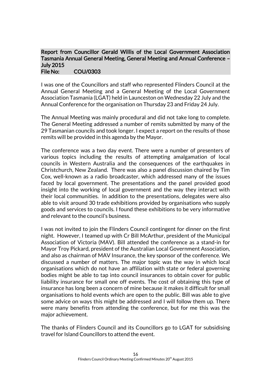#### Report from Councillor Gerald Willis of the Local Government Association Tasmania Annual General Meeting, General Meeting and Annual Conference – July 2015 File No: COU/0303

I was one of the Councillors and staff who represented Flinders Council at the Annual General Meeting and a General Meeting of the Local Government Association Tasmania (LGAT) held in Launceston on Wednesday 22 July and the Annual Conference for the organisation on Thursday 23 and Friday 24 July.

The Annual Meeting was mainly procedural and did not take long to complete. The General Meeting addressed a number of remits submitted by many of the 29 Tasmanian councils and took longer. I expect a report on the results of those remits will be provided in this agenda by the Mayor.

The conference was a two day event. There were a number of presenters of various topics including the results of attempting amalgamation of local councils in Western Australia and the consequences of the earthquakes in Christchurch, New Zealand. There was also a panel discussion chaired by Tim Cox, well-known as a radio broadcaster, which addressed many of the issues faced by local government. The presentations and the panel provided good insight into the working of local government and the way they interact with their local communities. In addition to the presentations, delegates were also able to visit around 30 trade exhibitions provided by organisations who supply goods and services to councils. I found these exhibitions to be very informative and relevant to the council's business.

I was not invited to join the Flinders Council contingent for dinner on the first night. However, I teamed up with Cr Bill McArthur, president of the Municipal Association of Victoria (MAV). Bill attended the conference as a stand-in for Mayor Troy Pickard, president of the Australian Local Government Association, and also as chairman of MAV Insurance, the key sponsor of the conference. We discussed a number of matters. The major topic was the way in which local organisations which do not have an affiliation with state or federal governing bodies might be able to tap into council insurances to obtain cover for public liability insurance for small one off events. The cost of obtaining this type of insurance has long been a concern of mine because it makes it difficult for small organisations to hold events which are open to the public. Bill was able to give some advice on ways this might be addressed and I will follow them up. There were many benefits from attending the conference, but for me this was the major achievement.

The thanks of Flinders Council and its Councillors go to LGAT for subsidising travel for Island Councillors to attend the event.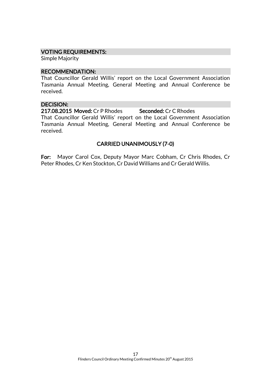#### VOTING REQUIREMENTS:

Simple Majority

#### RECOMMENDATION:

That Councillor Gerald Willis' report on the Local Government Association Tasmania Annual Meeting, General Meeting and Annual Conference be received.

#### DECISION:

217.08.2015 Moved: Cr P Rhodes Seconded: Cr C Rhodes

That Councillor Gerald Willis' report on the Local Government Association Tasmania Annual Meeting, General Meeting and Annual Conference be received.

#### CARRIED UNANIMOUSLY (7-0)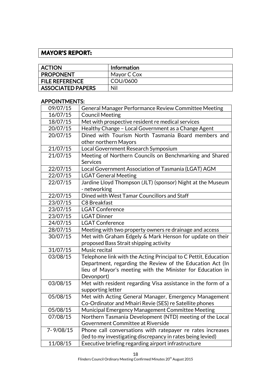## **MAYOR'S REPORT:**

| <b>ACTION</b>            | Information |
|--------------------------|-------------|
| <b>PROPONENT</b>         | Mayor C Cox |
| <b>FILE REFERENCE</b>    | COU/0600    |
| <b>ASSOCIATED PAPERS</b> | Nil         |

## APPOINTMENTS:

| 09/07/15      | General Manager Performance Review Committee Meeting                       |
|---------------|----------------------------------------------------------------------------|
| 16/07/15      | <b>Council Meeting</b>                                                     |
| 18/07/15      | Met with prospective resident re medical services                          |
| 20/07/15      | Healthy Change - Local Government as a Change Agent                        |
| 20/07/15      | Dined with Tourism North Tasmania Board members and                        |
|               | other northern Mayors                                                      |
| 21/07/15      | Local Government Research Symposium                                        |
| 21/07/15      | Meeting of Northern Councils on Benchmarking and Shared<br><b>Services</b> |
| 22/07/15      | Local Government Association of Tasmania (LGAT) AGM                        |
| 22/07/15      | <b>LGAT General Meeting</b>                                                |
| 22/07/15      | Jardine Lloyd Thompson (JLT) (sponsor) Night at the Museum                 |
|               | - networking                                                               |
| 22/07/15      | Dined with West Tamar Councillors and Staff                                |
| 23/07/15      | C8 Breakfast                                                               |
| 23/07/15      | <b>LGAT Conference</b>                                                     |
| 23/07/15      | <b>LGAT Dinner</b>                                                         |
| 24/07/15      | <b>LGAT Conference</b>                                                     |
| 28/07/15      | Meeting with two property owners re drainage and access                    |
| 30/07/15      | Met with Graham Edgely & Mark Henson for update on their                   |
|               | proposed Bass Strait shipping activity                                     |
| 31/07/15      | Music recital                                                              |
| 03/08/15      | Telephone link with the Acting Principal to C Pettit, Education            |
|               | Department, regarding the Review of the Education Act (In                  |
|               | lieu of Mayor's meeting with the Minister for Education in                 |
|               | Devonport)                                                                 |
| 03/08/15      | Met with resident regarding Visa assistance in the form of a               |
|               | supporting letter                                                          |
| 05/08/15      | Met with Acting General Manager, Emergency Management                      |
|               | Co-Ordinator and Mhairi Revie (SES) re Satellite phones                    |
| 05/08/15      | Municipal Emergency Management Committee Meeting                           |
| 07/08/15      | Northern Tasmania Development (NTD) meeting of the Local                   |
|               | Government Committee at Riverside                                          |
| $7 - 9/08/15$ | Phone call conversations with ratepayer re rates increases                 |
|               | (led to my investigating discrepancy in rates being levied)                |
| 11/08/15      | Executive briefing regarding airport infrastructure                        |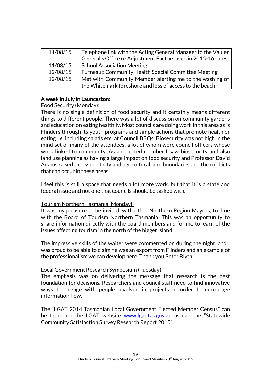| 11/08/15 | Telephone link with the Acting General Manager to the Valuer<br>General's Office re Adjustment Factors used in 2015-16 rates |
|----------|------------------------------------------------------------------------------------------------------------------------------|
|          |                                                                                                                              |
| 11/08/15 | <b>School Association Meeting</b>                                                                                            |
| 12/08/15 | <b>Furneaux Community Health Special Committee Meeting</b>                                                                   |
| 12/08/15 | Met with Community Member alerting me to the washing of                                                                      |
|          | the Whitemark foreshore and loss of access to the beach                                                                      |

#### A week in July in Launceston:

#### Food Security (Monday):

There is no single definition of food security and it certainly means different things to different people. There was a lot of discussion on community gardens and education on eating healthily. Most councils are doing work in this area as is Flinders through its youth programs and simple actions that promote healthier eating i.e. including salads etc. at Council BBQs. Biosecurity was not high in the mind set of many of the attendees, a lot of whom were council officers whose work linked to community. As an elected member I saw biosecurity and also land use planning as having a large impact on food security and Professor David Adams raised the issue of city and agricultural land boundaries and the conflicts that can occur in these areas.

I feel this is still a space that needs a lot more work, but that it is a state and federal issue and not one that councils should be tasked with.

#### Tourism Northern Tasmania (Monday):

It was my pleasure to be invited, with other Northern Region Mayors, to dine with the Board of Tourism Northern Tasmania. This was an opportunity to share information directly with the board members and for me to learn of the issues affecting tourism in the north of the bigger island.

The impressive skills of the waiter were commented on during the night, and I was proud to be able to claim he was an export from Flinders and an example of the professionalism we can develop here. Thank you Peter Blyth.

#### Local Government Research Symposium (Tuesday):

The emphasis was on delivering the message that research is the best foundation for decisions. Researchers and council staff need to find innovative ways to engage with people involved in projects in order to encourage information flow.

The "LGAT 2014 Tasmanian Local Government Elected Member Census" can be found on the LGAT website [www.lgat.tas.gov.au](http://www.lgat.tas.gov.au/) as can the "Statewide Community Satisfaction Survey Research Report 2015".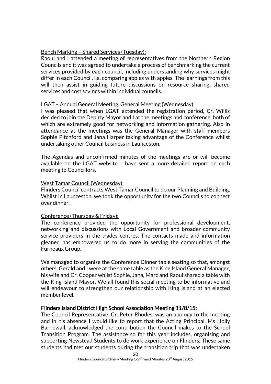#### Bench Marking – Shared Services (Tuesday):

Raoul and I attended a meeting of representatives from the Northern Region Councils and it was agreed to undertake a process of benchmarking the current services provided by each council, including understanding why services might differ in each Council, i.e. comparing apples with apples. The learnings from this will then assist in guiding future discussions on resource sharing, shared services and cost savings within individual councils.

#### LGAT – Annual General Meeting, General Meeting (Wednesday):

I was pleased that when LGAT extended the registration period, Cr. Willis decided to join the Deputy Mayor and I at the meetings and conference, both of which are extremely good for networking and information gathering. Also in attendance at the meetings was the General Manager with staff members Sophie Pitchford and Jana Harper taking advantage of the Conference whilst undertaking other Council business in Launceston.

The Agendas and unconfirmed minutes of the meetings are or will become available on the LGAT website. I have sent a more detailed report on each meeting to Councillors.

#### West Tamar Council (Wednesday):

Flinders Council contracts West Tamar Council to do our Planning and Building. Whilst in Launceston, we took the opportunity for the two Councils to connect over dinner.

#### Conference (Thursday & Friday):

The conference provided the opportunity for professional development, networking and discussions with Local Government and broader community service providers in the trades centres. The contacts made and information gleaned has empowered us to do more in serving the communities of the Furneaux Group.

We managed to organise the Conference Dinner table seating so that, amongst others, Gerald and I were at the same table as the King Island General Manager, his wife and Cr. Cooper whilst Sophie, Jana, Marc and Raoul shared a table with the King Island Mayor. We all found this social meeting to be informative and will endeavour to strengthen our relationship with King Island at an elected member level.

#### Flinders Island District High School Association Meeting 11/8/15:

The Council Representative, Cr. Peter Rhodes, was an apology to the meeting and in his absence I would like to report that the Acting Principal, Ms Holly Barnewall, acknowledged the contribution the Council makes to the School Transition Program. The assistance so far this year includes, organising and supporting Newstead Students to do work experience on Flinders. These same students had met our students during the transition trip that was undertaken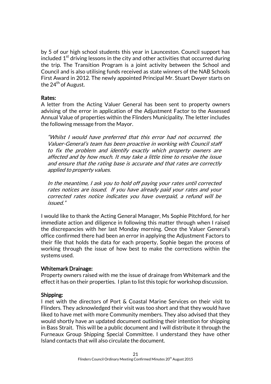by 5 of our high school students this year in Launceston. Council support has included  $1<sup>st</sup>$  driving lessons in the city and other activities that occurred during the trip. The Transition Program is a joint activity between the School and Council and is also utilising funds received as state winners of the NAB Schools First Award in 2012. The newly appointed Principal Mr. Stuart Dwyer starts on the 24<sup>th</sup> of August.

#### Rates:

A letter from the Acting Valuer General has been sent to property owners advising of the error in application of the Adjustment Factor to the Assessed Annual Value of properties within the Flinders Municipality. The letter includes the following message from the Mayor.

"Whilst I would have preferred that this error had not occurred, the Valuer-General's team has been proactive in working with Council staff to fix the problem and identify exactly which property owners are affected and by how much. It may take a little time to resolve the issue and ensure that the rating base is accurate and that rates are correctly applied to property values.

In the meantime, I ask you to hold off paying your rates until corrected rates notices are issued. If you have already paid your rates and your corrected rates notice indicates you have overpaid, a refund will be issued."

I would like to thank the Acting General Manager, Ms Sophie Pitchford, for her immediate action and diligence in following this matter through when I raised the discrepancies with her last Monday morning. Once the Valuer General's office confirmed there had been an error in applying the Adjustment Factors to their file that holds the data for each property, Sophie began the process of working through the issue of how best to make the corrections within the systems used.

#### Whitemark Drainage:

Property owners raised with me the issue of drainage from Whitemark and the effect it has on their properties. I plan to list this topic for workshop discussion.

#### Shipping:

I met with the directors of Port & Coastal Marine Services on their visit to Flinders. They acknowledged their visit was too short and that they would have liked to have met with more Community members. They also advised that they would shortly have an updated document outlining their intention for shipping in Bass Strait. This will be a public document and I will distribute it through the Furneaux Group Shipping Special Committee. I understand they have other Island contacts that will also circulate the document.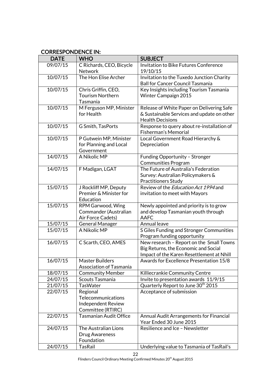## CORRESPONDENCE IN:

| <b>DATE</b> | <b>WHO</b>                                                                | <b>SUBJECT</b>                                                                                                                |
|-------------|---------------------------------------------------------------------------|-------------------------------------------------------------------------------------------------------------------------------|
| 09/07/15    | C Richards, CEO, Bicycle<br><b>Network</b>                                | Invitation to Bike Futures Conference<br>19/10/15                                                                             |
| 10/07/15    | The Hon Elise Archer                                                      | Invitation to the Tuxedo Junction Charity<br><b>Ball for Cancer Council Tasmania</b>                                          |
| 10/07/15    | Chris Griffin, CEO,<br><b>Tourism Northern</b><br>Tasmania                | Key Insights including Tourism Tasmania<br><b>Winter Campaign 2015</b>                                                        |
| 10/07/15    | M Ferguson MP, Minister<br>for Health                                     | Release of White Paper on Delivering Safe<br>& Sustainable Services and update on other<br><b>Health Decisions</b>            |
| 10/07/15    | G Smith, TasPorts                                                         | Response to query about re-installation of<br>Fisherman's Memorial                                                            |
| 10/07/15    | P Gutwein MP, Minister<br>for Planning and Local<br>Government            | Local Government Road Hierarchy &<br>Depreciation                                                                             |
| 14/07/15    | A Nikolic MP                                                              | Funding Opportunity - Stronger<br><b>Communities Program</b>                                                                  |
| 14/07/15    | F Madigan, LGAT                                                           | The Future of Australia's Federation<br>Survey: Australian Policymakers &<br><b>Practitioners Study</b>                       |
| 15/07/15    | J Rockliff MP, Deputy<br>Premier & Minister for<br>Education              | Review of the <i>Education Act 1994</i> and<br>invitation to meet with Mayors                                                 |
| 15/07/15    | RPM Garwood, Wing<br>Commander (Australian<br>Air Force Cadets)           | Newly appointed and priority is to grow<br>and develop Tasmanian youth through<br><b>AAFC</b>                                 |
| 15/07/15    | <b>General Manager</b>                                                    | Annual leave                                                                                                                  |
| 15/07/15    | A Nikolic MP                                                              | S Giles Funding and Stronger Communities<br>Program funding opportunity                                                       |
| 16/07/15    | C Scarth, CEO, AMES                                                       | New research - Report on the Small Towns<br>Big Returns, the Economic and Social<br>Impact of the Karen Resettlement at Nhill |
| 16/07/15    | <b>Master Builders</b><br><b>Association of Tasmania</b>                  | Awards for Excellence Presentation 15/8                                                                                       |
| 18/07/15    | <b>Community Member</b>                                                   | Killiecrankie Community Centre                                                                                                |
| 24/07/15    | Scouts Tasmania                                                           | Invite to presentation awards 11/9/15                                                                                         |
| 21/07/15    | <b>TasWater</b>                                                           | Quarterly Report to June 30 <sup>th</sup> 2015                                                                                |
| 22/07/15    | Regional<br>Telecommunications<br>Independent Review<br>Committee (RTIRC) | Acceptance of submission                                                                                                      |
| 22/07/15    | <b>Tasmanian Audit Office</b>                                             | Annual Audit Arrangements for Financial<br>Year Ended 30 June 2015                                                            |
| 24/07/15    | The Australian Lions<br>Drug Awareness<br>Foundation                      | Resilience and Ice - Newsletter                                                                                               |
| 24/07/15    | <b>TasRail</b>                                                            | Underlying value to Tasmania of TasRail's                                                                                     |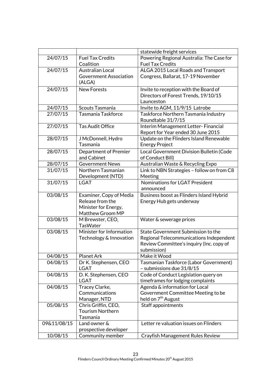|             |                               | statewide freight services                 |
|-------------|-------------------------------|--------------------------------------------|
| 24/07/15    | <b>Fuel Tax Credits</b>       | Powering Regional Australia: The Case for  |
|             | Coalition                     | <b>Fuel Tax Credits</b>                    |
| 24/07/15    | <b>Australian Local</b>       | ALGA 2015 Local Roads and Transport        |
|             | <b>Government Association</b> | Congress, Ballarat, 17-19 November         |
|             | (ALGA)                        |                                            |
| 24/07/15    | <b>New Forests</b>            | Invite to reception with the Board of      |
|             |                               | Directors of Forest Trends, 19/10/15       |
|             |                               | Launceston                                 |
| 24/07/15    | Scouts Tasmania               | Invite to AGM, 11/9/15 Latrobe             |
| 27/07/15    | Tasmania Taskforce            | Taskforce Northern Tasmania Industry       |
|             |                               | Roundtable 31/7/15                         |
| 27/07/15    | <b>Tas Audit Office</b>       | Interim Management Letter-Financial        |
|             |                               | Report for Year ended 30 June 2015         |
| 28/07/15    | J McDonnell, Hydro            | Update on the Flinders Island Renewable    |
|             | Tasmania                      | <b>Energy Project</b>                      |
| 28/07/15    | <b>Department of Premier</b>  | Local Government Division Bulletin (Code   |
|             | and Cabinet                   | of Conduct Bill)                           |
| 28/07/15    | <b>Government News</b>        | Australian Waste & Recycling Expo          |
| 31/07/15    | Northern Tasmanian            | Link to NBN Strategies - follow on from C8 |
|             | Development (NTD)             | Meeting                                    |
| 31/07/15    | <b>LGAT</b>                   | Nominations for LGAT President             |
|             |                               | announced                                  |
| 03/08/15    | Examiner, Copy of Media       | Business boost as Flinders Island Hybrid   |
|             | Release from the              | Energy Hub gets underway                   |
|             | Minister for Energy,          |                                            |
|             | Matthew Groom MP              |                                            |
| 03/08/15    | M Brewster, CEO,              | Water & sewerage prices                    |
|             |                               |                                            |
|             | TasWater                      |                                            |
| 03/08/15    | Minister for Information      | State Government Submission to the         |
|             | Technology & Innovation       | Regional Telecommunications Independent    |
|             |                               | Review Committee's inquiry (Inc. copy of   |
|             |                               | submission)                                |
| 04/08/15    | <b>Planet Ark</b>             | Make it Wood                               |
| 04/08/15    | Dr K. Stephensen, CEO         | Tasmanian Taskforce (Labor Government)     |
|             | <b>LGAT</b>                   | - submissions due 31/8/15                  |
| 04/08/15    | D. K. Stephensen, CEO         | Code of Conduct Legislation query on       |
|             | <b>LGAT</b>                   | timeframes for lodging complaints          |
| 04/08/15    | Tracey Clarke,                | Agenda & information for Local             |
|             | Communications                | Government Committee Meeting to be         |
|             | Manager, NTD                  | held on 7 <sup>th</sup> August             |
| 05/08/15    | Chris Griffin, CEO,           | Staff appointments                         |
|             | <b>Tourism Northern</b>       |                                            |
|             | Tasmania                      |                                            |
| 09&11/08/15 | Land owner &                  | Letter re valuation issues on Flinders     |
|             | prospective developer         |                                            |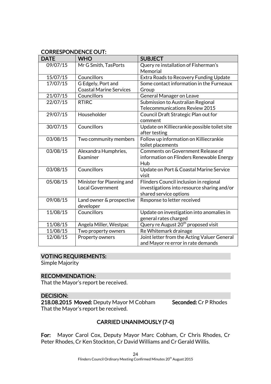## CORRESPONDENCE OUT:

| <b>DATE</b> | <b>WHO</b>                                           | <b>SUBJECT</b>                                                                                                  |
|-------------|------------------------------------------------------|-----------------------------------------------------------------------------------------------------------------|
| 09/07/15    | Mr G Smith, TasPorts                                 | Query re installation of Fisherman's<br>Memorial                                                                |
| 15/07/15    | Councillors                                          | Extra Roads to Recovery Funding Update                                                                          |
| 17/07/15    | G Edgely, Port and<br><b>Coastal Marine Services</b> | Some contact information in the Furneaux<br>Group                                                               |
| 21/07/15    | Councillors                                          | General Manager on Leave                                                                                        |
| 22/07/15    | <b>RTIRC</b>                                         | Submission to Australian Regional<br>Telecommunications Review 2015                                             |
| 29/07/15    | Householder                                          | Council Draft Strategic Plan out for<br>comment                                                                 |
| 30/07/15    | Councillors                                          | Update on Killiecrankie possible toilet site<br>after testing                                                   |
| 03/08/15    | Two community members                                | Follow up information on Killiecrankie<br>toilet placements                                                     |
| 03/08/15    | Alexandra Humphries,<br>Examiner                     | Comments on Government Release of<br>information on Flinders Renewable Energy<br>Hub                            |
| 03/08/15    | Councillors                                          | Update on Port & Coastal Marine Service<br>visit                                                                |
| 05/08/15    | Minister for Planning and<br><b>Local Government</b> | Flinders Council inclusion in regional<br>investigations into resource sharing and/or<br>shared service options |
| 09/08/15    | Land owner & prospective<br>developer                | Response to letter received                                                                                     |
| 11/08/15    | Councillors                                          | Update on investigation into anomalies in<br>general rates charged                                              |
| 11/08/15    | Angela Miller, Westpac                               | Query re August 20 <sup>th</sup> proposed visit                                                                 |
| 11/08/15    | Two property owners                                  | Re Whitemark drainage                                                                                           |
| 12/08/15    | Property owners                                      | Joint letter from the Acting Valuer General<br>and Mayor re error in rate demands                               |

#### VOTING REQUIREMENTS:

Simple Majority

#### RECOMMENDATION:

That the Mayor's report be received.

#### DECISION:

218.08.2015 Moved: Deputy Mayor M Cobham Seconded: Cr P Rhodes That the Mayor's report be received.

## CARRIED UNANIMOUSLY (7-0)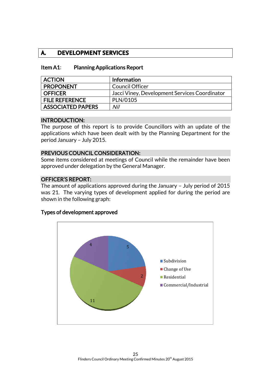## **A. DEVELOPMENT SERVICES**

| <b>Item A1:</b> | <b>Planning Applications Report</b> |
|-----------------|-------------------------------------|
|-----------------|-------------------------------------|

| <b>ACTION</b>            | <b>Information</b>                            |
|--------------------------|-----------------------------------------------|
| <b>PROPONENT</b>         | Council Officer                               |
| <b>OFFICER</b>           | Jacci Viney, Development Services Coordinator |
| <b>FILE REFERENCE</b>    | PLN/0105                                      |
| <b>ASSOCIATED PAPERS</b> | Nil                                           |

#### INTRODUCTION:

The purpose of this report is to provide Councillors with an update of the applications which have been dealt with by the Planning Department for the period January – July 2015.

#### PREVIOUS COUNCIL CONSIDERATION:

Some items considered at meetings of Council while the remainder have been approved under delegation by the General Manager.

#### OFFICER'S REPORT:

The amount of applications approved during the January – July period of 2015 was 21. The varying types of development applied for during the period are shown in the following graph:

#### Types of development approved

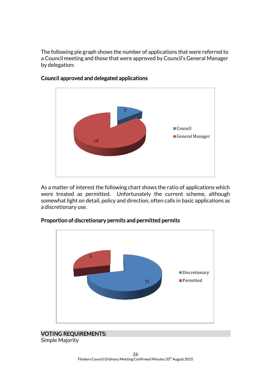The following pie graph shows the number of applications that were referred to a Council meeting and those that were approved by Council's General Manager by delegation:



#### Council approved and delegated applications

As a matter of interest the following chart shows the ratio of applications which were treated as permitted. Unfortunately the current scheme, although somewhat light on detail, policy and direction, often calls in basic applications as a discretionary use.



#### Proportion of discretionary permits and permitted permits

## VOTING REQUIREMENTS:

Simple Majority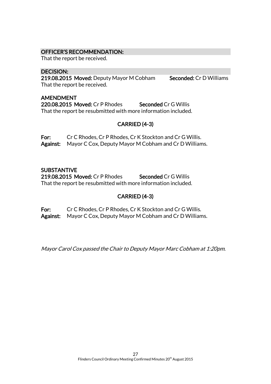#### OFFICER'S RECOMMENDATION:

That the report be received.

#### DECISION:

219.08.2015 Moved: Deputy Mayor M Cobham Seconded: Cr D Williams That the report be received.

#### AMENDMENT

220.08.2015 Moved: Cr P Rhodes Seconded Cr G Willis That the report be resubmitted with more information included.

## CARRIED (4-3)

For: Cr C Rhodes, Cr P Rhodes, Cr K Stockton and Cr G Willis. Against: Mayor C Cox, Deputy Mayor M Cobham and Cr D Williams.

#### **SUBSTANTIVE**

219.08.2015 Moved: Cr P Rhodes Seconded Cr G Willis That the report be resubmitted with more information included.

#### CARRIED (4-3)

For: Cr C Rhodes, Cr P Rhodes, Cr K Stockton and Cr G Willis. Against: Mayor C Cox, Deputy Mayor M Cobham and Cr D Williams.

Mayor Carol Cox passed the Chair to Deputy Mayor Marc Cobham at 1:20pm.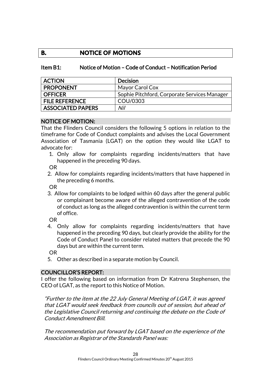## **B. NOTICE OF MOTIONS**

#### Item B1: Notice of Motion – Code of Conduct – Notification Period

| <b>ACTION</b>            | <b>Decision</b>                              |
|--------------------------|----------------------------------------------|
| <b>PROPONENT</b>         | Mayor Carol Cox                              |
| OFFICER                  | Sophie Pitchford, Corporate Services Manager |
| <b>FILE REFERENCE</b>    | COU/0303                                     |
| <b>ASSOCIATED PAPERS</b> | Nil                                          |

#### NOTICE OF MOTION:

That the Flinders Council considers the following 5 options in relation to the timeframe for Code of Conduct complaints and advises the Local Government Association of Tasmania (LGAT) on the option they would like LGAT to advocate for:

1. Only allow for complaints regarding incidents/matters that have happened in the preceding 90 days.

OR

2. Allow for complaints regarding incidents/matters that have happened in the preceding 6 months.

OR

3. Allow for complaints to be lodged within 60 days after the general public or complainant become aware of the alleged contravention of the code of conduct as long as the alleged contravention is within the current term of office.

OR

4. Only allow for complaints regarding incidents/matters that have happened in the preceding 90 days, but clearly provide the ability for the Code of Conduct Panel to consider related matters that precede the 90 days but are within the current term.

OR

5. Other as described in a separate motion by Council.

#### COUNCILLOR'S REPORT:

I offer the following based on information from Dr Katrena Stephensen, the CEO of LGAT, as the report to this Notice of Motion.

"Further to the item at the 22 July General Meeting of LGAT, it was agreed that LGAT would seek feedback from councils out of session, but ahead of the Legislative Council returning and continuing the debate on the Code of Conduct Amendment Bill.

The recommendation put forward by LGAT based on the experience of the Association as Registrar of the Standards Panel was: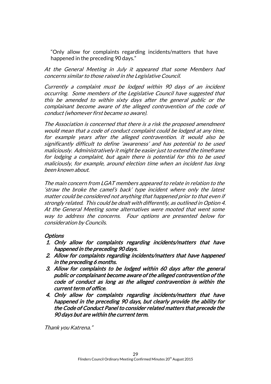"Only allow for complaints regarding incidents/matters that have happened in the preceding 90 days."

At the General Meeting in July it appeared that some Members had concerns similar to those raised in the Legislative Council.

Currently a complaint must be lodged within 90 days of an incident occurring. Some members of the Legislative Council have suggested that this be amended to within sixty days after the general public or the complainant become aware of the alleged contravention of the code of conduct (whomever first became so aware).

The Association is concerned that there is a risk the proposed amendment would mean that a code of conduct complaint could be lodged at any time, for example years after the alleged contravention. It would also be significantly difficult to define 'awareness' and has potential to be used maliciously. Administratively it might be easier just to extend the timeframe for lodging a complaint, but again there is potential for this to be used maliciously, for example, around election time when an incident has long been known about.

The main concern from LGAT members appeared to relate in relation to the 'straw the broke the camel's back' type incident where only the latest matter could be considered not anything that happened prior to that even if strongly related. This could be dealt with differently, as outlined in Option 4. At the General Meeting some alternatives were mooted that went some way to address the concerns. Four options are presented below for consideration by Councils.

#### **Options**

- 1. Only allow for complaints regarding incidents/matters that have happened in the preceding 90 days.
- 2. Allow for complaints regarding incidents/matters that have happened in the preceding 6 months.
- 3. Allow for complaints to be lodged within 60 days after the general public or complainant become aware of the alleged contravention of the code of conduct as long as the alleged contravention is within the current term of office.
- 4. Only allow for complaints regarding incidents/matters that have happened in the preceding 90 days, but clearly provide the ability for the Code of Conduct Panel to consider related matters that precede the 90 days but are within the current term.

Thank you Katrena."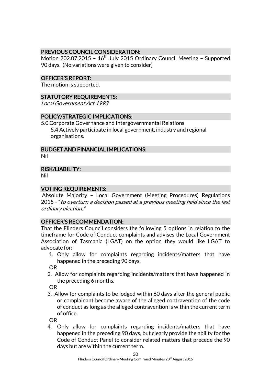## PREVIOUS COUNCIL CONSIDERATION:

Motion 202.07.2015 - 16<sup>th</sup> July 2015 Ordinary Council Meeting - Supported 90 days. (No variations were given to consider)

#### OFFICER'S REPORT:

The motion is supported.

#### STATUTORY REQUIREMENTS:

Local Government Act 1993

#### POLICY/STRATEGIC IMPLICATIONS:

5.0 Corporate Governance and Intergovernmental Relations 5.4 Actively participate in local government, industry and regional organisations.

#### BUDGET AND FINANCIAL IMPLICATIONS:

Nil

#### RISK/LIABILITY:

Nil

## VOTING REQUIREMENTS:

Absolute Majority – Local Government (Meeting Procedures) Regulations 2015 - "to overturn a decision passed at a previous meeting held since the last ordinary election."

#### OFFICER'S RECOMMENDATION:

That the Flinders Council considers the following 5 options in relation to the timeframe for Code of Conduct complaints and advises the Local Government Association of Tasmania (LGAT) on the option they would like LGAT to advocate for:

1. Only allow for complaints regarding incidents/matters that have happened in the preceding 90 days.

OR

2. Allow for complaints regarding incidents/matters that have happened in the preceding 6 months.

OR

3. Allow for complaints to be lodged within 60 days after the general public or complainant become aware of the alleged contravention of the code of conduct as long as the alleged contravention is within the current term of office.

OR

4. Only allow for complaints regarding incidents/matters that have happened in the preceding 90 days, but clearly provide the ability for the Code of Conduct Panel to consider related matters that precede the 90 days but are within the current term.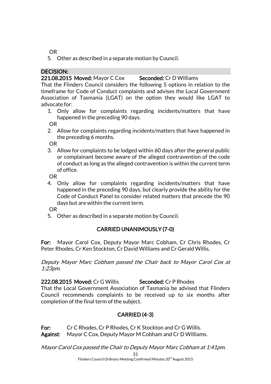OR

5. Other as described in a separate motion by Council.

## DECISION:

221.08.2015 Moved: Mayor C Cox Seconded: Cr D Williams

That the Flinders Council considers the following 5 options in relation to the timeframe for Code of Conduct complaints and advises the Local Government Association of Tasmania (LGAT) on the option they would like LGAT to advocate for:

1. Only allow for complaints regarding incidents/matters that have happened in the preceding 90 days.

OR

2. Allow for complaints regarding incidents/matters that have happened in the preceding 6 months.

OR

3. Allow for complaints to be lodged within 60 days after the general public or complainant become aware of the alleged contravention of the code of conduct as long as the alleged contravention is within the current term of office.

OR

4. Only allow for complaints regarding incidents/matters that have happened in the preceding 90 days, but clearly provide the ability for the Code of Conduct Panel to consider related matters that precede the 90 days but are within the current term.

OR

5. Other as described in a separate motion by Council.

## CARRIED UNANIMOUSLY (7-0)

For: Mayor Carol Cox, Deputy Mayor Marc Cobham, Cr Chris Rhodes, Cr Peter Rhodes, Cr Ken Stockton, Cr David Williams and Cr Gerald Willis.

Deputy Mayor Marc Cobham passed the Chair back to Mayor Carol Cox at 1:23pm.

222.08.2015 Moved: Cr G Willis Seconded: Cr P Rhodes

That the Local Government Association of Tasmania be advised that Flinders Council recommends complaints to be received up to six months after completion of the final term of the subject.

## CARRIED (4-3)

For: Cr C Rhodes, Cr P Rhodes, Cr K Stockton and Cr G Willis. Against: Mayor C Cox, Deputy Mayor M Cobham and Cr D Williams.

Mayor Carol Cox passed the Chair to Deputy Mayor Marc Cobham at 1:41pm.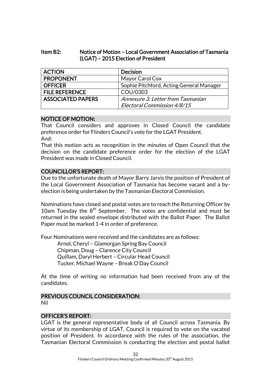#### Item B2: Notice of Motion – Local Government Association of Tasmania (LGAT) – 2015 Election of President

| <b>ACTION</b>            | <b>Decision</b>                          |
|--------------------------|------------------------------------------|
| <b>PROPONENT</b>         | Mayor Carol Cox                          |
| <b>OFFICER</b>           | Sophie Pitchford, Acting General Manager |
| <b>FILE REFERENCE</b>    | COU/0303                                 |
| <b>ASSOCIATED PAPERS</b> | Annexure 3: Letter from Tasmanian        |
|                          | Electoral Commission 4/8/15              |

#### NOTICE OF MOTION:

That Council considers and approves in Closed Council the candidate preference order for Flinders Council's vote for the LGAT President. And:

That this motion acts as recognition in the minutes of Open Council that the decision on the candidate preference order for the election of the LGAT President was made in Closed Council.

#### COUNCILLOR'S REPORT:

Due to the unfortunate death of Mayor Barry Jarvis the position of President of the Local Government Association of Tasmania has become vacant and a byelection is being undertaken by the Tasmanian Electoral Commission.

Nominations have closed and postal votes are to reach the Returning Officer by 10am Tuesday the  $8<sup>th</sup>$  September. The votes are confidential and must be returned in the sealed envelope distributed with the Ballot Paper. The Ballot Paper must be marked 1-4 in order of preference.

Four Nominations were received and the candidates are as follows:

Arnol, Cheryl – Glamorgan Spring Bay Council Chipman, Doug – Clarence City Council Quillam, Daryl Herbert – Circular Head Council Tucker, Michael Wayne – Break O'Day Council

At the time of writing no information had been received from any of the candidates.

## PREVIOUS COUNCIL CONSIDERATION:

Nil

#### OFFICER'S REPORT:

LGAT is the general representative body of all Council across Tasmania. By virtue of its membership of LGAT, Council is required to vote on the vacated position of President. In accordance with the rules of the association, the Tasmanian Electoral Commission is conducting the election and postal ballot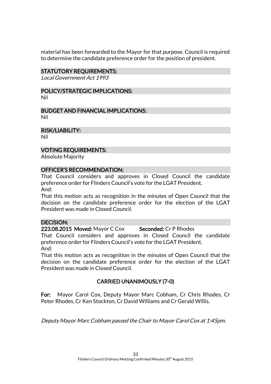material has been forwarded to the Mayor for that purpose. Council is required to determine the candidate preference order for the position of president.

#### STATUTORY REQUIREMENTS:

Local Government Act 1993

#### POLICY/STRATEGIC IMPLICATIONS: Nil

BUDGET AND FINANCIAL IMPLICATIONS: Nil

RISK/LIABILITY:

Nil

#### VOTING REQUIREMENTS:

Absolute Majority

#### OFFICER'S RECOMMENDATION:

That Council considers and approves in Closed Council the candidate preference order for Flinders Council's vote for the LGAT President. And:

That this motion acts as recognition in the minutes of Open Council that the decision on the candidate preference order for the election of the LGAT President was made in Closed Council.

#### DECISION:

223.08.2015 Moved: Mayor C Cox Seconded: Cr P Rhodes

That Council considers and approves in Closed Council the candidate preference order for Flinders Council's vote for the LGAT President. And:

That this motion acts as recognition in the minutes of Open Council that the decision on the candidate preference order for the election of the LGAT President was made in Closed Council.

## CARRIED UNANIMOUSLY (7-0)

For: Mayor Carol Cox, Deputy Mayor Marc Cobham, Cr Chris Rhodes, Cr Peter Rhodes, Cr Ken Stockton, Cr David Williams and Cr Gerald Willis.

Deputy Mayor Marc Cobham passed the Chair to Mayor Carol Cox at 1:45pm.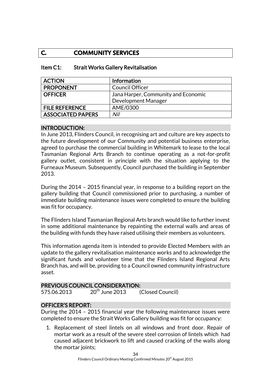## **C. COMMUNITY SERVICES**

| <b>ACTION</b>            | Information                         |
|--------------------------|-------------------------------------|
| <b>PROPONENT</b>         | <b>Council Officer</b>              |
| <b>OFFICER</b>           | Jana Harper, Community and Economic |
|                          | Development Manager                 |
| <b>FILE REFERENCE</b>    | AME/0300                            |
| <b>ASSOCIATED PAPERS</b> | Nil                                 |

#### Item C1: Strait Works Gallery Revitalisation

#### INTRODUCTION:

In June 2013, Flinders Council, in recognising art and culture are key aspects to the future development of our Community and potential business enterprise, agreed to purchase the commercial building in Whitemark to lease to the local Tasmanian Regional Arts Branch to continue operating as a not-for-profit gallery outlet, consistent in principle with the situation applying to the Furneaux Museum. Subsequently, Council purchased the building in September 2013.

During the 2014 – 2015 financial year, in response to a building report on the gallery building that Council commissioned prior to purchasing, a number of immediate building maintenance issues were completed to ensure the building was fit for occupancy.

The Flinders Island Tasmanian Regional Arts branch would like to further invest in some additional maintenance by repainting the external walls and areas of the building with funds they have raised utilising their members as volunteers.

This information agenda item is intended to provide Elected Members with an update to the gallery revitalisation maintenance works and to acknowledge the significant funds and volunteer time that the Flinders Island Regional Arts Branch has, and will be, providing to a Council owned community infrastructure asset.

#### PREVIOUS COUNCIL CONSIDERATION:

575.06.2013  $20^{th}$  June 2013 (Closed Council)

#### OFFICER'S REPORT:

During the 2014 – 2015 financial year the following maintenance issues were completed to ensure the Strait Works Gallery building was fit for occupancy:

1. Replacement of steel lintels on all windows and front door. Repair of mortar work as a result of the severe steel corrosion of lintels which had caused adjacent brickwork to lift and caused cracking of the walls along the mortar joints;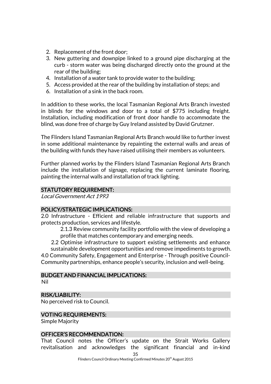- 2. Replacement of the front door;
- 3. New guttering and downpipe linked to a ground pipe discharging at the curb - storm water was being discharged directly onto the ground at the rear of the building;
- 4. Installation of a water tank to provide water to the building;
- 5. Access provided at the rear of the building by installation of steps; and
- 6. Installation of a sink in the back room.

In addition to these works, the local Tasmanian Regional Arts Branch invested in blinds for the windows and door to a total of \$775 including freight. Installation, including modification of front door handle to accommodate the blind, was done free of charge by Guy Ireland assisted by David Grutzner.

The Flinders Island Tasmanian Regional Arts Branch would like to further invest in some additional maintenance by repainting the external walls and areas of the building with funds they have raised utilising their members as volunteers.

Further planned works by the Flinders Island Tasmanian Regional Arts Branch include the installation of signage, replacing the current laminate flooring, painting the internal walls and installation of track lighting.

## STATUTORY REQUIREMENT:

Local Government Act 1993

#### POLICY/STRATEGIC IMPLICATIONS:

2.0 Infrastructure - Efficient and reliable infrastructure that supports and protects production, services and lifestyle.

2.1.3 Review community facility portfolio with the view of developing a profile that matches contemporary and emerging needs.

2.2 Optimise infrastructure to support existing settlements and enhance sustainable development opportunities and remove impediments to growth.

4.0 Community Safety, Engagement and Enterprise - Through positive Council-Community partnerships, enhance people's security, inclusion and well-being.

#### BUDGET AND FINANCIAL IMPLICATIONS:

Nil

#### RISK/LIABILITY:

No perceived risk to Council.

#### VOTING REQUIREMENTS:

Simple Majority

#### OFFICER'S RECOMMENDATION:

That Council notes the Officer's update on the Strait Works Gallery revitalisation and acknowledges the significant financial and in-kind

Flinders Council Ordinary Meeting Confirmed Minutes 20<sup>th</sup> August 2015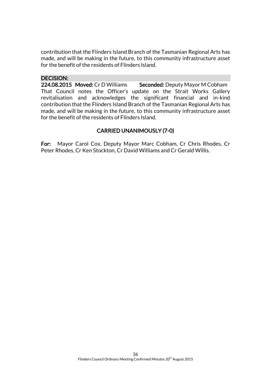contribution that the Flinders Island Branch of the Tasmanian Regional Arts has made, and will be making in the future, to this community infrastructure asset for the benefit of the residents of Flinders Island.

#### DECISION:

224.08.2015 Moved: Cr D Williams Seconded: Deputy Mayor M Cobham That Council notes the Officer's update on the Strait Works Gallery revitalisation and acknowledges the significant financial and in-kind contribution that the Flinders Island Branch of the Tasmanian Regional Arts has made, and will be making in the future, to this community infrastructure asset for the benefit of the residents of Flinders Island.

## CARRIED UNANIMOUSLY (7-0)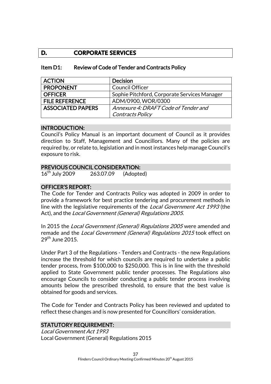## **D. CORPORATE SERVICES**

| Review of Code of Tender and Contracts Policy<br>Item D1: |  |
|-----------------------------------------------------------|--|
|-----------------------------------------------------------|--|

| <b>ACTION</b>            | <b>Decision</b>                              |
|--------------------------|----------------------------------------------|
| <b>PROPONENT</b>         | <b>Council Officer</b>                       |
| <b>OFFICER</b>           | Sophie Pitchford, Corporate Services Manager |
| <b>FILE REFERENCE</b>    | ADM/0900, WOR/0300                           |
| <b>ASSOCIATED PAPERS</b> | Annexure 4: DRAFT Code of Tender and         |
|                          | Contracts Policy                             |

#### INTRODUCTION:

Council's Policy Manual is an important document of Council as it provides direction to Staff, Management and Councillors. Many of the policies are required by, or relate to, legislation and in most instances help manage Council's exposure to risk.

#### PREVIOUS COUNCIL CONSIDERATION:

16th July 2009 263.07.09 (Adopted)

#### OFFICER'S REPORT:

The Code for Tender and Contracts Policy was adopted in 2009 in order to provide a framework for best practice tendering and procurement methods in line with the legislative requirements of the Local Government Act 1993 (the Act), and the Local Government (General) Regulations 2005.

In 2015 the *Local Government (General) Regulations 2005* were amended and remade and the Local Government (General) Regulations 2015 took effect on  $29<sup>th</sup>$  June 2015.

Under Part 3 of the Regulations - Tenders and Contracts - the new Regulations increase the threshold for which councils are required to undertake a public tender process, from \$100,000 to \$250,000. This is in line with the threshold applied to State Government public tender processes. The Regulations also encourage Councils to consider conducting a public tender process involving amounts below the prescribed threshold, to ensure that the best value is obtained for goods and services.

The Code for Tender and Contracts Policy has been reviewed and updated to reflect these changes and is now presented for Councillors' consideration.

#### STATUTORY REQUIREMENT:

Local Government Act 1993 Local Government (General) Regulations 2015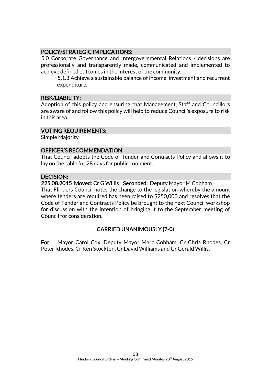#### POLICY/STRATEGIC IMPLICATIONS:

5.0 Corporate Governance and Intergovernmental Relations - decisions are professionally and transparently made, communicated and implemented to achieve defined outcomes in the interest of the community.

5.1.3 Achieve a sustainable balance of income, investment and recurrent expenditure.

#### RISK/LIABILITY:

Adoption of this policy and ensuring that Management, Staff and Councillors are aware of and follow this policy will help to reduce Council's exposure to risk in this area.

#### VOTING REQUIREMENTS:

Simple Majority

#### OFFICER'S RECOMMENDATION:

That Council adopts the Code of Tender and Contracts Policy and allows it to lay on the table for 28 days for public comment.

#### DECISION:

225.08.2015 Moved: Cr G Willis Seconded: Deputy Mayor M Cobham That Flinders Council notes the change to the legislation whereby the amount where tenders are required has been raised to \$250,000 and resolves that the Code of Tender and Contracts Policy be brought to the next Council workshop for discussion with the intention of bringing it to the September meeting of Council for consideration.

## CARRIED UNANIMOUSLY (7-0)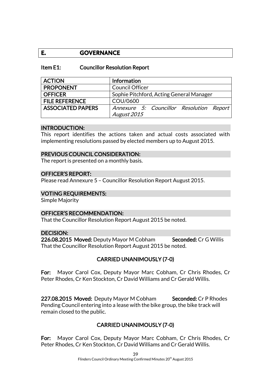## **E. GOVERNANCE**

#### Item E1: Councillor Resolution Report

| <b>ACTION</b>            | <b>Information</b>                       |
|--------------------------|------------------------------------------|
| <b>PROPONENT</b>         | <b>Council Officer</b>                   |
| <b>OFFICER</b>           | Sophie Pitchford, Acting General Manager |
| <b>FILE REFERENCE</b>    | COU/0600                                 |
| <b>ASSOCIATED PAPERS</b> | Annexure 5: Councillor Resolution Report |
|                          | August 2015                              |

#### INTRODUCTION:

This report identifies the actions taken and actual costs associated with implementing resolutions passed by elected members up to August 2015.

#### PREVIOUS COUNCIL CONSIDERATION:

The report is presented on a monthly basis.

#### OFFICER'S REPORT:

Please read Annexure 5 – Councillor Resolution Report August 2015.

#### VOTING REQUIREMENTS:

Simple Majority

#### OFFICER'S RECOMMENDATION:

That the Councillor Resolution Report August 2015 be noted.

#### DECISION:

226.08.2015 Moved: Deputy Mayor M Cobham Seconded: Cr G Willis That the Councillor Resolution Report August 2015 be noted.

#### CARRIED UNANIMOUSLY (7-0)

For: Mayor Carol Cox, Deputy Mayor Marc Cobham, Cr Chris Rhodes, Cr Peter Rhodes, Cr Ken Stockton, Cr David Williams and Cr Gerald Willis.

227.08.2015 Moved: Deputy Mayor M Cobham Seconded: Cr P Rhodes Pending Council entering into a lease with the bike group, the bike track will remain closed to the public.

#### CARRIED UNANIMOUSLY (7-0)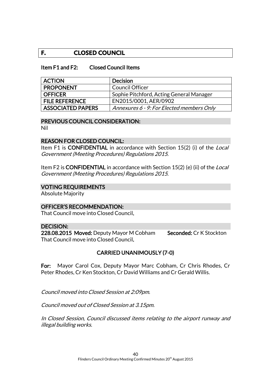## **F. CLOSED COUNCIL**

#### Item F1 and F2: Closed Council Items

| <b>ACTION</b>            | <b>Decision</b>                           |
|--------------------------|-------------------------------------------|
| <b>PROPONENT</b>         | <b>Council Officer</b>                    |
| <b>OFFICER</b>           | Sophie Pitchford, Acting General Manager  |
| <b>FILE REFERENCE</b>    | EN2015/0001, AER/0902                     |
| <b>ASSOCIATED PAPERS</b> | Annexures 6 - 9: For Elected members Only |

#### PREVIOUS COUNCIL CONSIDERATION:

Nil

#### REASON FOR CLOSED COUNCIL:

Item F1 is CONFIDENTIAL in accordance with Section 15(2) (i) of the Local Government (Meeting Procedures) Regulations 2015.

Item F2 is **CONFIDENTIAL** in accordance with Section 15(2) (e) (ii) of the *Local* Government (Meeting Procedures) Regulations 2015.

#### VOTING REQUIREMENTS

Absolute Majority

#### OFFICER'S RECOMMENDATION:

That Council move into Closed Council.

#### DECISION:

228.08.2015 Moved: Deputy Mayor M Cobham Seconded: Cr K Stockton That Council move into Closed Council.

#### CARRIED UNANIMOUSLY (7-0)

For: Mayor Carol Cox, Deputy Mayor Marc Cobham, Cr Chris Rhodes, Cr Peter Rhodes, Cr Ken Stockton, Cr David Williams and Cr Gerald Willis.

Council moved into Closed Session at 2:09pm.

Council moved out of Closed Session at 3.15pm.

In Closed Session, Council discussed items relating to the airport runway and illegal building works.